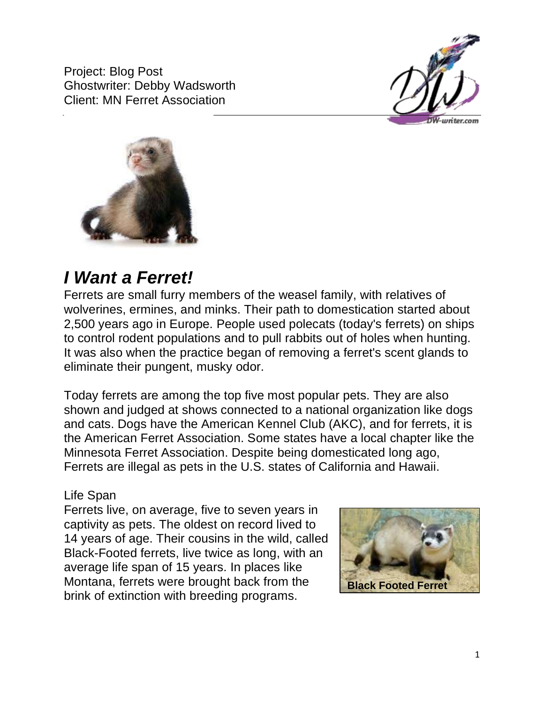Project: Blog Post Ghostwriter: Debby Wadsworth Client: MN Ferret Association





# *I Want a Ferret!*

Ferrets are small furry members of the weasel family, with relatives of wolverines, ermines, and minks. Their path to domestication started about 2,500 years ago in Europe. People used polecats (today's ferrets) on ships to control rodent populations and to pull rabbits out of holes when hunting. It was also when the practice began of removing a ferret's scent glands to eliminate their pungent, musky odor.

Today ferrets are among the top five most popular pets. They are also shown and judged at shows connected to a national organization like dogs and cats. Dogs have the American Kennel Club (AKC), and for ferrets, it is the American Ferret Association. Some states have a local chapter like the Minnesota Ferret Association. Despite being domesticated long ago, Ferrets are illegal as pets in the U.S. states of California and Hawaii.

## Life Span

Ferrets live, on average, five to seven years in captivity as pets. The oldest on record lived to 14 years of age. Their cousins in the wild, called Black-Footed ferrets, live twice as long, with an average life span of 15 years. In places like Montana, ferrets were brought back from the brink of extinction with breeding programs.

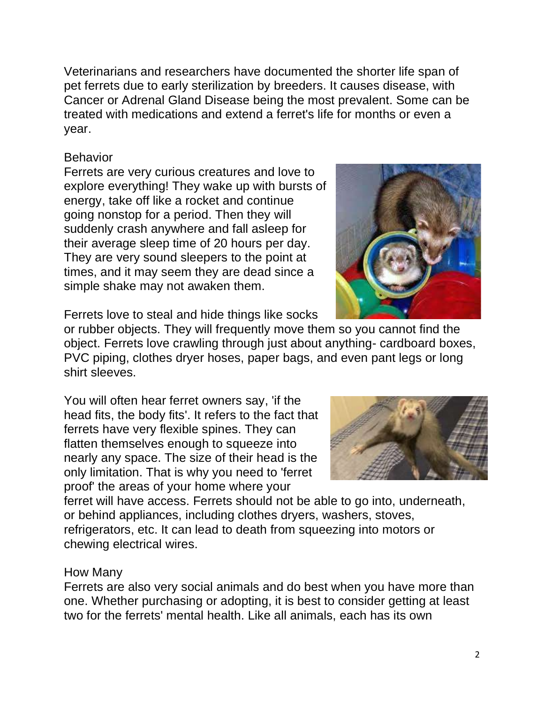Veterinarians and researchers have documented the shorter life span of pet ferrets due to early sterilization by breeders. It causes disease, with Cancer or Adrenal Gland Disease being the most prevalent. Some can be treated with medications and extend a ferret's life for months or even a year.

# Behavior

Ferrets are very curious creatures and love to explore everything! They wake up with bursts of energy, take off like a rocket and continue going nonstop for a period. Then they will suddenly crash anywhere and fall asleep for their average sleep time of 20 hours per day. They are very sound sleepers to the point at times, and it may seem they are dead since a simple shake may not awaken them.

Ferrets love to steal and hide things like socks or rubber objects. They will frequently move them so you cannot find the object. Ferrets love crawling through just about anything- cardboard boxes, PVC piping, clothes dryer hoses, paper bags, and even pant legs or long shirt sleeves.

You will often hear ferret owners say, 'if the head fits, the body fits'. It refers to the fact that ferrets have very flexible spines. They can flatten themselves enough to squeeze into nearly any space. The size of their head is the only limitation. That is why you need to 'ferret proof' the areas of your home where your

ferret will have access. Ferrets should not be able to go into, underneath, or behind appliances, including clothes dryers, washers, stoves, refrigerators, etc. It can lead to death from squeezing into motors or chewing electrical wires.

## How Many

Ferrets are also very social animals and do best when you have more than one. Whether purchasing or adopting, it is best to consider getting at least two for the ferrets' mental health. Like all animals, each has its own



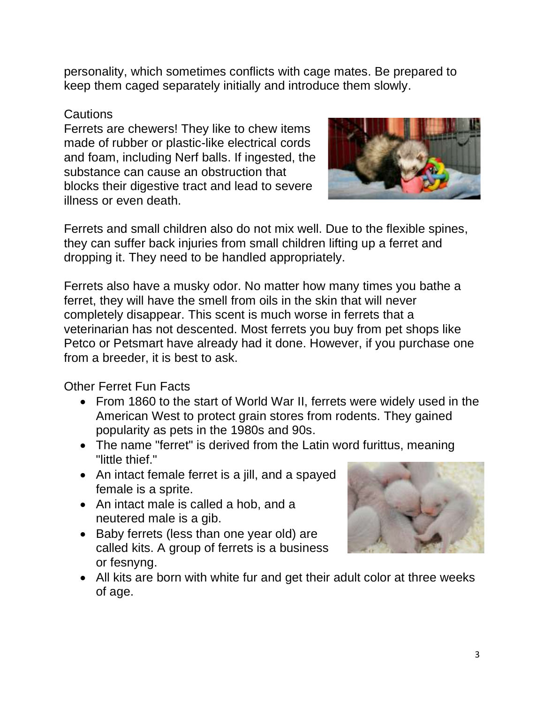personality, which sometimes conflicts with cage mates. Be prepared to keep them caged separately initially and introduce them slowly.

#### Cautions

Ferrets are chewers! They like to chew items made of rubber or plastic-like electrical cords and foam, including Nerf balls. If ingested, the substance can cause an obstruction that blocks their digestive tract and lead to severe illness or even death.



Ferrets and small children also do not mix well. Due to the flexible spines, they can suffer back injuries from small children lifting up a ferret and dropping it. They need to be handled appropriately.

Ferrets also have a musky odor. No matter how many times you bathe a ferret, they will have the smell from oils in the skin that will never completely disappear. This scent is much worse in ferrets that a veterinarian has not descented. Most ferrets you buy from pet shops like Petco or Petsmart have already had it done. However, if you purchase one from a breeder, it is best to ask.

Other Ferret Fun Facts

- From 1860 to the start of World War II, ferrets were widely used in the American West to protect grain stores from rodents. They gained popularity as pets in the 1980s and 90s.
- The name "ferret" is derived from the Latin word furittus, meaning "little thief."
- An intact female ferret is a jill, and a spayed female is a sprite.
- An intact male is called a hob, and a neutered male is a gib.
- Baby ferrets (less than one year old) are called kits. A group of ferrets is a business or fesnyng.



• All kits are born with white fur and get their adult color at three weeks of age.